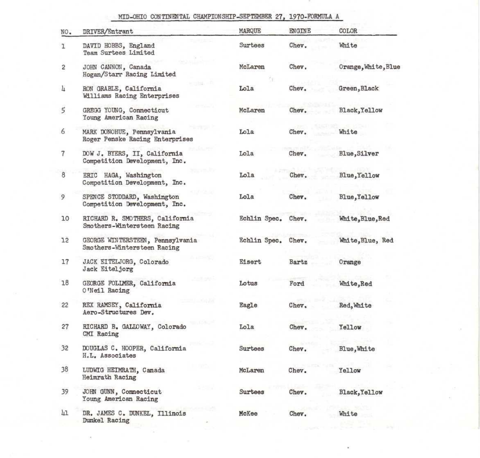## MID-OHIO CONTINENTAL CHAMPIONSHIP-SEPTEMBER 27, 1970-FORMULA A

| NO. | DRIVER/Entrant                                                  | MARQUE       | ENGINE | COLOR               |
|-----|-----------------------------------------------------------------|--------------|--------|---------------------|
| ı   | DAVID HOBBS, England<br>Team Surtees Limited                    | Surtees      | Chev.  | White               |
| 2   | JOHN CANNON, Canada<br>Hogan/Starr Racing Limited               | McLaren      | Chev.  | Orange, White, Blue |
| 4   | RON GRABLE, California<br>Williams Racing Enterprises           | Lola         | Chev.  | Green, Black        |
| 5   | GREGG YOUNG, Connecticut<br>Young American Racing               | McLaren      | Chev.  | Black, Yellow       |
| 6   | MARK DONOHUE, Pennsylvania<br>Roger Penske Racing Enterprises   | Lola         | Chev.  | White               |
| 7   | DOW J. BYERS, II, California<br>Competition Development, Inc.   | Lola         | Chev.  | Blue, Silver        |
| 8   | ERIC HAGA, Washington<br>Competition Development, Inc.          | Lola         | Chev.  | Blue, Yellow        |
| 9   | SPENCE STODDARD, Washington<br>Competition Development, Inc.    | Lola         | Chev.  | Blue, Yellow        |
| 10  | RICHARD R. SMOTHERS, California<br>Smothers-Wintersteen Racing  | Echlin Spec. | Chev.  | White, Blue, Red    |
| 12  | GEORGE WINTERSTEEN, Pennsylvania<br>Smothers-Wintersteen Racing | Echlin Spec. | Chev.  | White, Blue, Red    |
| 17  | JACK EITELJORG, Colorado<br>Jack Eiteljorg                      | Eisert       | Bartz  | Orange              |
| 18  | GEORGE FOLLMER, California<br>O'Neil Racing                     | Lotus        | Ford   | White, Red          |
| 22  | REX RAMSEY, California<br>Aero-Structures Dev.                  | Eagle        | Chev,  | Red, White          |
| 27  | RICHARD B. GALLOWAY, Colorado<br>CMI Racing                     | Lola         | Chev.  | Yellow              |
| 32  | DOUGLAS C. HOOPER, California<br>H.L. Associates                | Surtees      | Chev.  | Blue, White         |
| 38  | LUDWIG HEIMRATH, Canada<br>Heimrath Racing                      | McLaren      | Chev.  | Yellow              |
| 39  | JOHN GUNN, Connecticut<br>Young American Racing                 | Surtees      | Chev.  | Black, Yellow       |
| 41  | DR. JAMES C. DUNKEL, Illinois<br>Dunkel Racing                  | McKee        | Chev.  | White               |